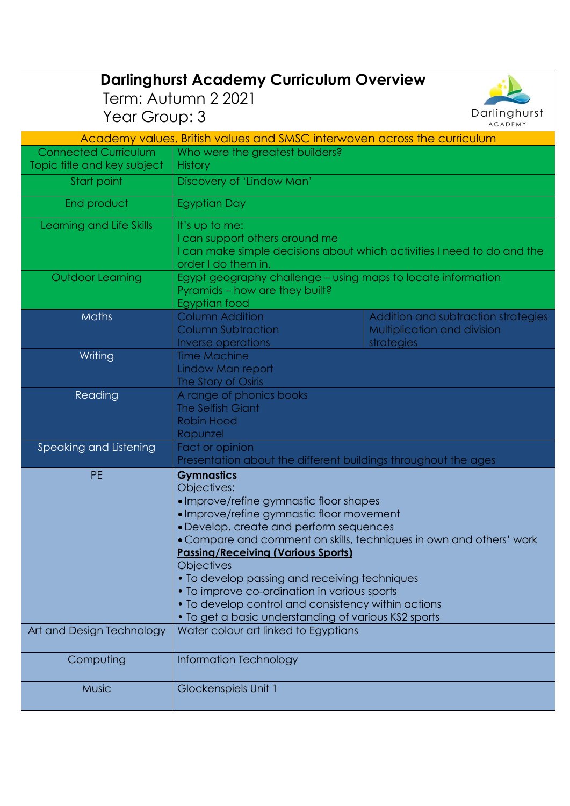| <b>Darlinghurst Academy Curriculum Overview</b><br>Term: Autumn 2 2021                     |                                                                                                                                                                                                                                                                                                                                                                                                                                                                                                                              |                                                                                  |  |
|--------------------------------------------------------------------------------------------|------------------------------------------------------------------------------------------------------------------------------------------------------------------------------------------------------------------------------------------------------------------------------------------------------------------------------------------------------------------------------------------------------------------------------------------------------------------------------------------------------------------------------|----------------------------------------------------------------------------------|--|
| Darlinghurst<br>Year Group: 3                                                              |                                                                                                                                                                                                                                                                                                                                                                                                                                                                                                                              |                                                                                  |  |
| <b>ACADEMY</b><br>Academy values, British values and SMSC interwoven across the curriculum |                                                                                                                                                                                                                                                                                                                                                                                                                                                                                                                              |                                                                                  |  |
| <b>Connected Curriculum</b>                                                                | Who were the greatest builders?                                                                                                                                                                                                                                                                                                                                                                                                                                                                                              |                                                                                  |  |
| Topic title and key subject                                                                | <b>History</b>                                                                                                                                                                                                                                                                                                                                                                                                                                                                                                               |                                                                                  |  |
| Start point                                                                                | Discovery of 'Lindow Man'                                                                                                                                                                                                                                                                                                                                                                                                                                                                                                    |                                                                                  |  |
| End product                                                                                | <b>Egyptian Day</b>                                                                                                                                                                                                                                                                                                                                                                                                                                                                                                          |                                                                                  |  |
| Learning and Life Skills                                                                   | It's up to me:<br>I can support others around me<br>I can make simple decisions about which activities I need to do and the<br>order I do them in.                                                                                                                                                                                                                                                                                                                                                                           |                                                                                  |  |
| <b>Outdoor Learning</b>                                                                    | Egypt geography challenge - using maps to locate information<br>Pyramids - how are they built?<br>Egyptian food                                                                                                                                                                                                                                                                                                                                                                                                              |                                                                                  |  |
| <b>Maths</b>                                                                               | <b>Column Addition</b><br><b>Column Subtraction</b><br>Inverse operations                                                                                                                                                                                                                                                                                                                                                                                                                                                    | Addition and subtraction strategies<br>Multiplication and division<br>strategies |  |
| Writing                                                                                    | <b>Time Machine</b><br>Lindow Man report<br>The Story of Osiris                                                                                                                                                                                                                                                                                                                                                                                                                                                              |                                                                                  |  |
| Reading                                                                                    | A range of phonics books<br><b>The Selfish Giant</b><br><b>Robin Hood</b><br>Rapunzel                                                                                                                                                                                                                                                                                                                                                                                                                                        |                                                                                  |  |
| Speaking and Listening                                                                     | Fact or opinion<br>Presentation about the different buildings throughout the ages                                                                                                                                                                                                                                                                                                                                                                                                                                            |                                                                                  |  |
| <b>PE</b>                                                                                  | <b>Gymnastics</b><br>Objectives:<br>• Improve/refine gymnastic floor shapes<br>• Improve/refine gymnastic floor movement<br>• Develop, create and perform sequences<br>• Compare and comment on skills, techniques in own and others' work<br><b>Passing/Receiving (Various Sports)</b><br><b>Objectives</b><br>• To develop passing and receiving techniques<br>• To improve co-ordination in various sports<br>• To develop control and consistency within actions<br>• To get a basic understanding of various KS2 sports |                                                                                  |  |
| Art and Design Technology                                                                  | Water colour art linked to Egyptians                                                                                                                                                                                                                                                                                                                                                                                                                                                                                         |                                                                                  |  |
| Computing                                                                                  | Information Technology                                                                                                                                                                                                                                                                                                                                                                                                                                                                                                       |                                                                                  |  |
| <b>Music</b>                                                                               | Glockenspiels Unit 1                                                                                                                                                                                                                                                                                                                                                                                                                                                                                                         |                                                                                  |  |